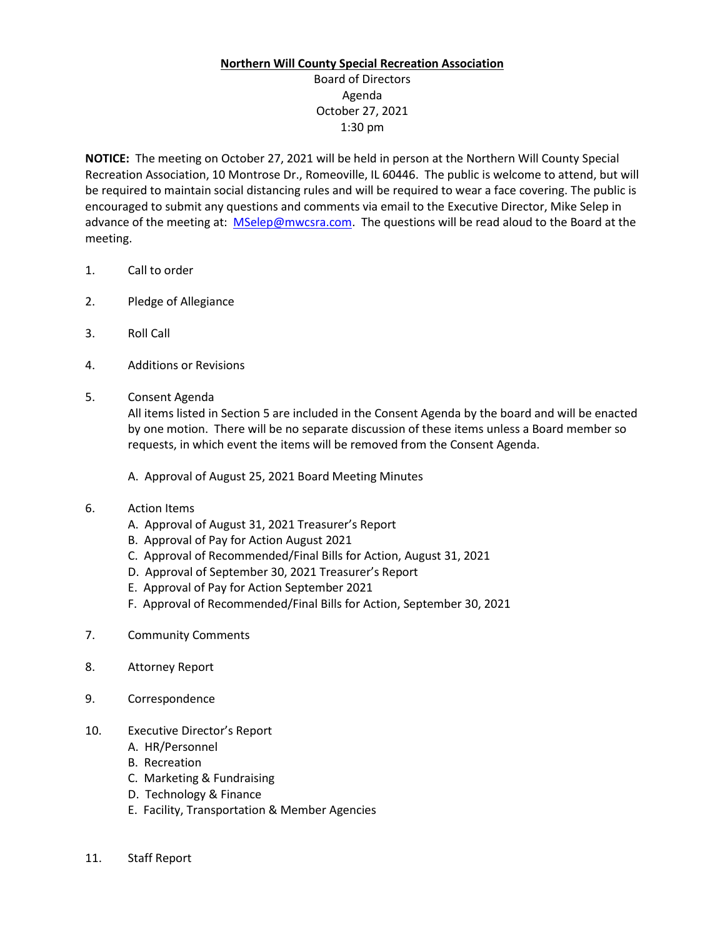## **Northern Will County Special Recreation Association**

## Board of Directors Agenda October 27, 2021 1:30 pm

**NOTICE:** The meeting on October 27, 2021 will be held in person at the Northern Will County Special Recreation Association, 10 Montrose Dr., Romeoville, IL 60446. The public is welcome to attend, but will be required to maintain social distancing rules and will be required to wear a face covering. The public is encouraged to submit any questions and comments via email to the Executive Director, Mike Selep in advance of the meeting at: [MSelep@mwcsra.com.](mailto:MSelep@mwcsra.com) The questions will be read aloud to the Board at the meeting.

- 1. Call to order
- 2. Pledge of Allegiance
- 3. Roll Call
- 4. Additions or Revisions
- 5. Consent Agenda

All items listed in Section 5 are included in the Consent Agenda by the board and will be enacted by one motion. There will be no separate discussion of these items unless a Board member so requests, in which event the items will be removed from the Consent Agenda.

- A. Approval of August 25, 2021 Board Meeting Minutes
- 6. Action Items
	- A. Approval of August 31, 2021 Treasurer's Report
	- B. Approval of Pay for Action August 2021
	- C. Approval of Recommended/Final Bills for Action, August 31, 2021
	- D. Approval of September 30, 2021 Treasurer's Report
	- E. Approval of Pay for Action September 2021
	- F. Approval of Recommended/Final Bills for Action, September 30, 2021
- 7. Community Comments
- 8. Attorney Report
- 9. Correspondence
- 10. Executive Director's Report
	- A. HR/Personnel
	- B. Recreation
	- C. Marketing & Fundraising
	- D. Technology & Finance
	- E. Facility, Transportation & Member Agencies
- 11. Staff Report